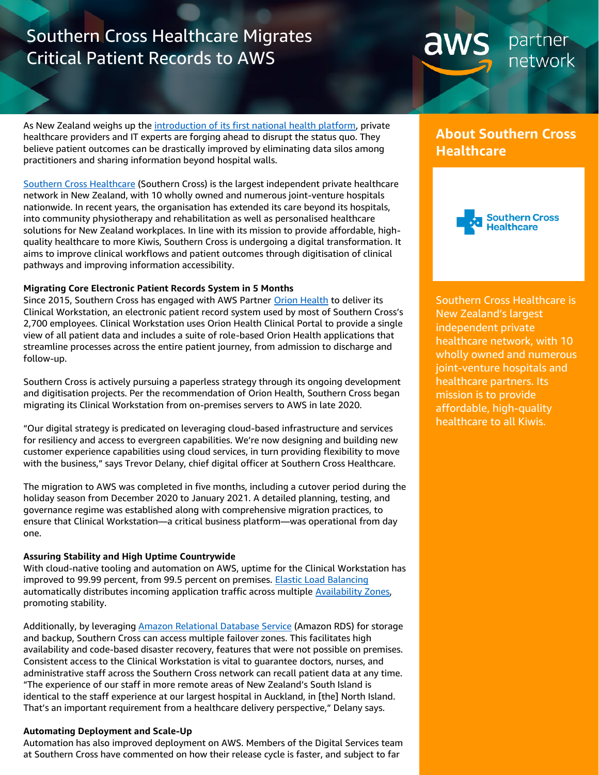# Southern Cross Healthcare Migrates Critical Patient Records to AWS

partner aws network

As New Zealand weighs up the [introduction of its first national health platform,](https://www.rnz.co.nz/news/national/440047/health-data-system-fragmented-leaving-clinicians-and-patients-in-the-dark-it-experts) private healthcare providers and IT experts are forging ahead to disrupt the status quo. They believe patient outcomes can be drastically improved by eliminating data silos among practitioners and sharing information beyond hospital walls.

[Southern Cross Healthcare](https://www.southerncross.co.nz/) (Southern Cross) is the largest independent private healthcare network in New Zealand, with 10 wholly owned and numerous joint-venture hospitals nationwide. In recent years, the organisation has extended its care beyond its hospitals, into community physiotherapy and rehabilitation as well as personalised healthcare solutions for New Zealand workplaces. In line with its mission to provide affordable, highquality healthcare to more Kiwis, Southern Cross is undergoing a digital transformation. It aims to improve clinical workflows and patient outcomes through digitisation of clinical pathways and improving information accessibility.

### **Migrating Core Electronic Patient Records System in 5 Months**

Since 2015, Southern Cross has engaged with AWS Partner [Orion Health](https://partners.amazonaws.com/partners/001E000000wLbfVIAS/Orion%20Health%20Inc.) to deliver its Clinical Workstation, an electronic patient record system used by most of Southern Cross's 2,700 employees. Clinical Workstation uses Orion Health Clinical Portal to provide a single view of all patient data and includes a suite of role-based Orion Health applications that streamline processes across the entire patient journey, from admission to discharge and follow-up.

Southern Cross is actively pursuing a paperless strategy through its ongoing development and digitisation projects. Per the recommendation of Orion Health, Southern Cross began migrating its Clinical Workstation from on-premises servers to AWS in late 2020.

"Our digital strategy is predicated on leveraging cloud-based infrastructure and services for resiliency and access to evergreen capabilities. We're now designing and building new customer experience capabilities using cloud services, in turn providing flexibility to move with the business," says Trevor Delany, chief digital officer at Southern Cross Healthcare.

The migration to AWS was completed in five months, including a cutover period during the holiday season from December 2020 to January 2021. A detailed planning, testing, and governance regime was established along with comprehensive migration practices, to ensure that Clinical Workstation—a critical business platform—was operational from day one.

### **Assuring Stability and High Uptime Countrywide**

With cloud-native tooling and automation on AWS, uptime for the Clinical Workstation has improved to 99.99 percent, from 99.5 percent on premises. [Elastic Load Balancing](https://aws.amazon.com/elasticloadbalancing/) automatically distributes incoming application traffic across multiple [Availability Zones,](https://aws.amazon.com/about-aws/global-infrastructure/regions_az/)  promoting stability.

Additionally, by leveragin[g Amazon Relational Database Service](https://aws.amazon.com/rds/) (Amazon RDS) for storage and backup, Southern Cross can access multiple failover zones. This facilitates high availability and code-based disaster recovery, features that were not possible on premises. Consistent access to the Clinical Workstation is vital to guarantee doctors, nurses, and administrative staff across the Southern Cross network can recall patient data at any time. "The experience of our staff in more remote areas of New Zealand's South Island is identical to the staff experience at our largest hospital in Auckland, in [the] North Island. That's an important requirement from a healthcare delivery perspective," Delany says.

### **Automating Deployment and Scale-Up**

Automation has also improved deployment on AWS. Members of the Digital Services team at Southern Cross have commented on how their release cycle is faster, and subject to far

## **About Southern Cross Healthcare**



Southern Cross Healthcare is New Zealand's largest independent private healthcare network, with 10 wholly owned and numerous joint-venture hospitals and healthcare partners. Its mission is to provide affordable, high-quality healthcare to all Kiwis.